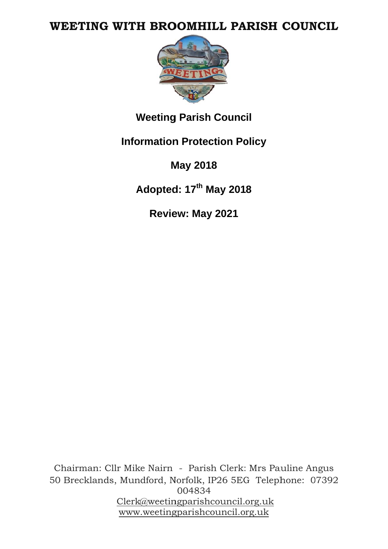# WEETING WITH BROOMHILL PARISH COUNCIL



**Weeting Parish Council** 

**Information Protection Policy** 

**May 2018** 

Adopted: 17th May 2018

Review: May 2021

Chairman: Cllr Mike Nairn - Parish Clerk: Mrs Pauline Angus 50 Brecklands, Mundford, Norfolk, IP26 5EG Telephone: 07392 004834 Clerk@weetingparishcouncil.org.uk www.weetingparishcouncil.org.uk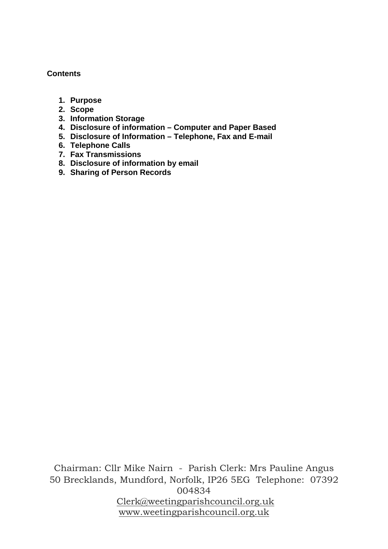#### **Contents**

- **1. Purpose**
- **2. Scope**
- **3. Information Storage**
- **4. Disclosure of information Computer and Paper Based**
- **5. Disclosure of Information Telephone, Fax and E-mail**
- **6. Telephone Calls**
- **7. Fax Transmissions**
- **8. Disclosure of information by email**
- **9. Sharing of Person Records**

Chairman: Cllr Mike Nairn - Parish Clerk: Mrs Pauline Angus 50 Brecklands, Mundford, Norfolk, IP26 5EG Telephone: 07392 004834 Clerk@weetingparishcouncil.org.uk www.weetingparishcouncil.org.uk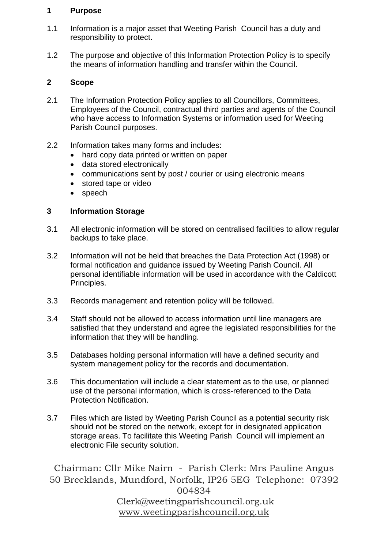#### **1 Purpose**

- 1.1 Information is a major asset that Weeting Parish Council has a duty and responsibility to protect.
- 1.2 The purpose and objective of this Information Protection Policy is to specify the means of information handling and transfer within the Council.

# **2 Scope**

- 2.1 The Information Protection Policy applies to all Councillors, Committees, Employees of the Council, contractual third parties and agents of the Council who have access to Information Systems or information used for Weeting Parish Council purposes.
- 2.2 Information takes many forms and includes:
	- hard copy data printed or written on paper
	- data stored electronically
	- communications sent by post / courier or using electronic means
	- stored tape or video
	- speech

# **3 Information Storage**

- 3.1 All electronic information will be stored on centralised facilities to allow regular backups to take place.
- 3.2 Information will not be held that breaches the Data Protection Act (1998) or formal notification and guidance issued by Weeting Parish Council. All personal identifiable information will be used in accordance with the Caldicott Principles.
- 3.3 Records management and retention policy will be followed.
- 3.4 Staff should not be allowed to access information until line managers are satisfied that they understand and agree the legislated responsibilities for the information that they will be handling.
- 3.5 Databases holding personal information will have a defined security and system management policy for the records and documentation.
- 3.6 This documentation will include a clear statement as to the use, or planned use of the personal information, which is cross-referenced to the Data Protection Notification.
- 3.7 Files which are listed by Weeting Parish Council as a potential security risk should not be stored on the network, except for in designated application storage areas. To facilitate this Weeting Parish Council will implement an electronic File security solution.

Chairman: Cllr Mike Nairn - Parish Clerk: Mrs Pauline Angus 50 Brecklands, Mundford, Norfolk, IP26 5EG Telephone: 07392 004834 Clerk@weetingparishcouncil.org.uk

www.weetingparishcouncil.org.uk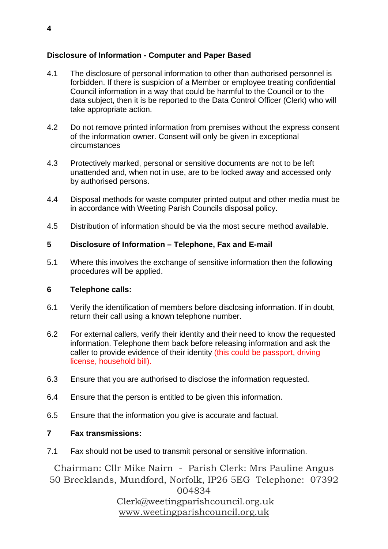## **Disclosure of Information - Computer and Paper Based**

- 4.1 The disclosure of personal information to other than authorised personnel is forbidden. If there is suspicion of a Member or employee treating confidential Council information in a way that could be harmful to the Council or to the data subject, then it is be reported to the Data Control Officer (Clerk) who will take appropriate action.
- 4.2 Do not remove printed information from premises without the express consent of the information owner. Consent will only be given in exceptional circumstances
- 4.3 Protectively marked, personal or sensitive documents are not to be left unattended and, when not in use, are to be locked away and accessed only by authorised persons.
- 4.4 Disposal methods for waste computer printed output and other media must be in accordance with Weeting Parish Councils disposal policy.
- 4.5 Distribution of information should be via the most secure method available.

### **5 Disclosure of Information – Telephone, Fax and E-mail**

5.1 Where this involves the exchange of sensitive information then the following procedures will be applied.

### **6 Telephone calls:**

- 6.1 Verify the identification of members before disclosing information. If in doubt, return their call using a known telephone number.
- 6.2 For external callers, verify their identity and their need to know the requested information. Telephone them back before releasing information and ask the caller to provide evidence of their identity (this could be passport, driving license, household bill).
- 6.3 Ensure that you are authorised to disclose the information requested.
- 6.4 Ensure that the person is entitled to be given this information.
- 6.5 Ensure that the information you give is accurate and factual.

### **7 Fax transmissions:**

7.1 Fax should not be used to transmit personal or sensitive information.

Chairman: Cllr Mike Nairn - Parish Clerk: Mrs Pauline Angus 50 Brecklands, Mundford, Norfolk, IP26 5EG Telephone: 07392

004834

 Clerk@weetingparishcouncil.org.uk www.weetingparishcouncil.org.uk